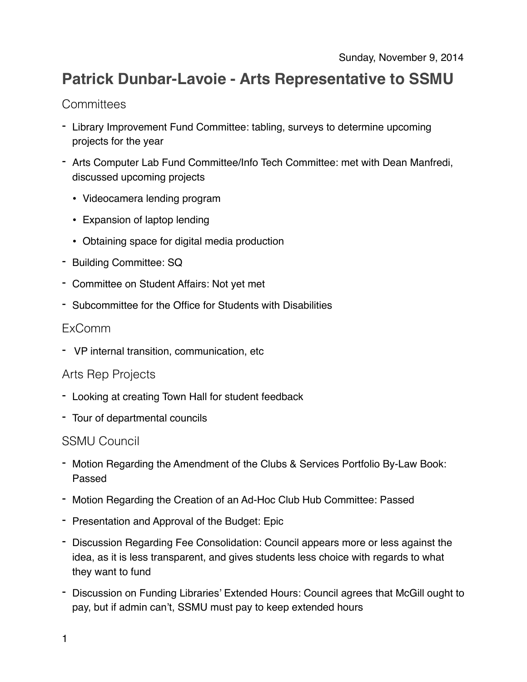# **Patrick Dunbar-Lavoie - Arts Representative to SSMU**

# **Committees**

- Library Improvement Fund Committee: tabling, surveys to determine upcoming projects for the year
- Arts Computer Lab Fund Committee/Info Tech Committee: met with Dean Manfredi, discussed upcoming projects
	- Videocamera lending program
	- Expansion of laptop lending
	- Obtaining space for digital media production
- Building Committee: SQ
- Committee on Student Affairs: Not yet met
- Subcommittee for the Office for Students with Disabilities

### ExComm

- VP internal transition, communication, etc

### Arts Rep Projects

- Looking at creating Town Hall for student feedback
- Tour of departmental councils

### SSMU Council

- Motion Regarding the Amendment of the Clubs & Services Portfolio By-Law Book: Passed
- Motion Regarding the Creation of an Ad-Hoc Club Hub Committee: Passed
- Presentation and Approval of the Budget: Epic
- Discussion Regarding Fee Consolidation: Council appears more or less against the idea, as it is less transparent, and gives students less choice with regards to what they want to fund
- Discussion on Funding Libraries' Extended Hours: Council agrees that McGill ought to pay, but if admin can't, SSMU must pay to keep extended hours